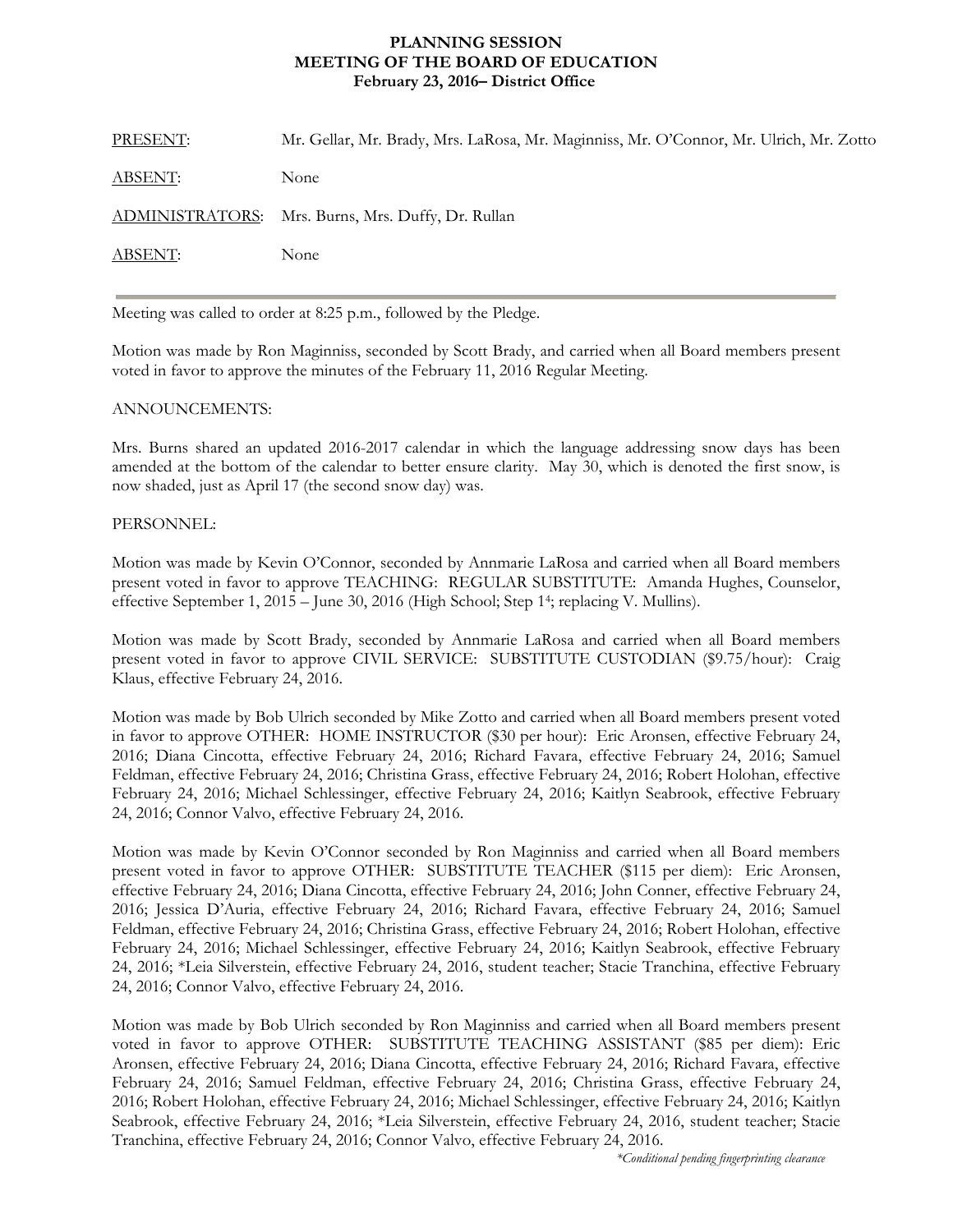## **MEETING OF THE BOARD OF EDUCATION PLANNING SESSION February 23, 2016– District Office**

| PRESENT:       | Mr. Gellar, Mr. Brady, Mrs. LaRosa, Mr. Maginniss, Mr. O'Connor, Mr. Ulrich, Mr. Zotto |
|----------------|----------------------------------------------------------------------------------------|
| <u>ABSENT:</u> | None                                                                                   |
|                | ADMINISTRATORS: Mrs. Burns, Mrs. Duffy, Dr. Rullan                                     |
| <b>ABSENT:</b> | None                                                                                   |

Meeting was called to order at 8:25 p.m., followed by the Pledge.

Motion was made by Ron Maginniss, seconded by Scott Brady, and carried when all Board members present voted in favor to approve the minutes of the February 11, 2016 Regular Meeting.

## ANNOUNCEMENTS:

Mrs. Burns shared an updated 2016-2017 calendar in which the language addressing snow days has been amended at the bottom of the calendar to better ensure clarity. May 30, which is denoted the first snow, is now shaded, just as April 17 (the second snow day) was.

## PERSONNEL:

Motion was made by Kevin O'Connor, seconded by Annmarie LaRosa and carried when all Board members present voted in favor to approve TEACHING: REGULAR SUBSTITUTE: Amanda Hughes, Counselor, effective September 1, 2015 – June 30, 2016 (High School; Step 14; replacing V. Mullins).

Motion was made by Scott Brady, seconded by Annmarie LaRosa and carried when all Board members present voted in favor to approve CIVIL SERVICE: SUBSTITUTE CUSTODIAN (\$9.75/hour): Craig Klaus, effective February 24, 2016.

Motion was made by Bob Ulrich seconded by Mike Zotto and carried when all Board members present voted in favor to approve OTHER: HOME INSTRUCTOR (\$30 per hour): Eric Aronsen, effective February 24, 2016; Diana Cincotta, effective February 24, 2016; Richard Favara, effective February 24, 2016; Samuel Feldman, effective February 24, 2016; Christina Grass, effective February 24, 2016; Robert Holohan, effective February 24, 2016; Michael Schlessinger, effective February 24, 2016; Kaitlyn Seabrook, effective February 24, 2016; Connor Valvo, effective February 24, 2016.

Motion was made by Kevin O'Connor seconded by Ron Maginniss and carried when all Board members present voted in favor to approve OTHER: SUBSTITUTE TEACHER (\$115 per diem): Eric Aronsen, effective February 24, 2016; Diana Cincotta, effective February 24, 2016; John Conner, effective February 24, 2016; Jessica D'Auria, effective February 24, 2016; Richard Favara, effective February 24, 2016; Samuel Feldman, effective February 24, 2016; Christina Grass, effective February 24, 2016; Robert Holohan, effective February 24, 2016; Michael Schlessinger, effective February 24, 2016; Kaitlyn Seabrook, effective February 24, 2016; \*Leia Silverstein, effective February 24, 2016, student teacher; Stacie Tranchina, effective February 24, 2016; Connor Valvo, effective February 24, 2016.

Motion was made by Bob Ulrich seconded by Ron Maginniss and carried when all Board members present voted in favor to approve OTHER: SUBSTITUTE TEACHING ASSISTANT (\$85 per diem): Eric Aronsen, effective February 24, 2016; Diana Cincotta, effective February 24, 2016; Richard Favara, effective February 24, 2016; Samuel Feldman, effective February 24, 2016; Christina Grass, effective February 24, 2016; Robert Holohan, effective February 24, 2016; Michael Schlessinger, effective February 24, 2016; Kaitlyn Seabrook, effective February 24, 2016; \*Leia Silverstein, effective February 24, 2016, student teacher; Stacie Tranchina, effective February 24, 2016; Connor Valvo, effective February 24, 2016.